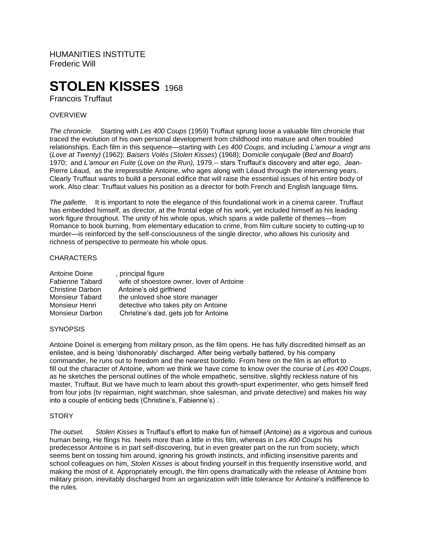HUMANITIES INSTITUTE Frederic Will

# **STOLEN KISSES** 1968

Francois Truffaut

# OVERVIEW

*The chronicle.* Starting with *Les 400 Coups* (1959) Truffaut sprung loose a valuable film chronicle that traced the evolution of his own personal development from childhood into mature and often troubled relationships. Each film in this sequence—starting with *Les 400 Coups*, and including *L'amour a vingt ans* (*Love at Twenty)* (1962); *Baisers Volés* (*Stolen Kisses*) (1968); D*omicile conjugale* (*Bed and Board*) 1970; and *L'amour en Fuite* (*Love on the Run),* 1979.-- stars Truffaut's discovery and alter ego, Jean-Pierre Léaud, as the irrepressible Antoine, who ages along with Léaud through the intervening years. Clearly Truffaut wants to build a personal edifice that will raise the essential issues of his entire body of work. Also clear: Truffaut values his position as a director for both French and English language films.

*The pallette.* It is important to note the elegance of this foundational work in a cinema career. Truffaut has embedded himself, as director, at the frontal edge of his work, yet included himself as his leading work figure throughout. The unity of his whole opus, which spans a wide pallette of themes—from Romance to book burning, from elementary education to crime, from film culture society to cutting-up to murder—is reinforced by the self-consciousness of the single director, who allows his curiosity and richness of perspective to permeate his whole opus.

## **CHARACTERS**

| Antoine Doine           | , principal figure                        |
|-------------------------|-------------------------------------------|
| Fabienne Tabard         | wife of shoestore owner, lover of Antoine |
| <b>Christine Darbon</b> | Antoine's old girlfriend                  |
| <b>Monsieur Tabard</b>  | the unloved shoe store manager            |
| Monsieur Henri          | detective who takes pity on Antoine       |
| Monsieur Darbon         | Christine's dad, gets job for Antoine     |

#### **SYNOPSIS**

Antoine Doinel is emerging from military prison, as the film opens. He has fully discredited himself as an enlistee, and is being 'dishonorably' discharged. After being verbally battered, by his company commander, he runs out to freedom and the nearest bordello. From here on the film is an effort to fill out the character of Antoine, whom we think we have come to know over the course of *Les 400 Coups*, as he sketches the personal outlines of the whole empathetic, sensitive, slightly reckless nature of his master, Truffaut. But we have much to learn about this growth-spurt experimenter, who gets himself fired from four jobs (tv repairman, night watchman, shoe salesman, and private detective) and makes his way into a couple of enticing beds (Christine's, Fabienne's) .

## **STORY**

*The outset. Stolen Kisses* is Truffaut's effort to make fun of himself (Antoine) as a vigorous and curious human being, He flings his heels more than a little in this film, whereas in *Les 400 Coups* his predecessor Antoine is in part self-discovering, but in even greater part on the run from society, which seems bent on tossing him around, ignoring his growth instincts, and inflicting insensitive parents and school colleagues on him, *Stolen Kisses* is about finding yourself in this frequently insensitive world, and making the most of it. Appropriately enough, the film opens dramatically with the release of Antoine from military prison, inevitably discharged from an organization with little tolerance for Antoine's indifference to the rules.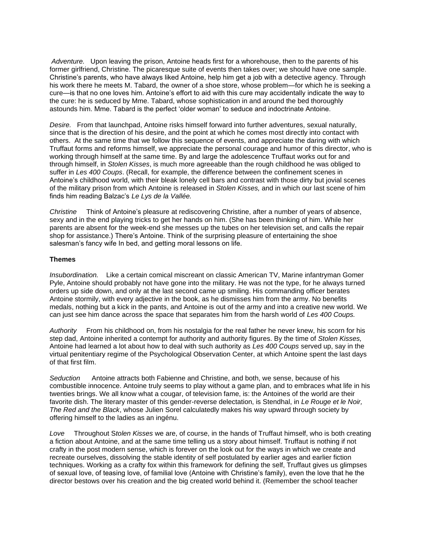*Adventure.* Upon leaving the prison, Antoine heads first for a whorehouse, then to the parents of his former girlfriend, Christine. The picaresque suite of events then takes over; we should have one sample. Christine's parents, who have always liked Antoine, help him get a job with a detective agency. Through his work there he meets M. Tabard, the owner of a shoe store, whose problem—for which he is seeking a cure—is that no one loves him. Antoine's effort to aid with this cure may accidentally indicate the way to the cure: he is seduced by Mme. Tabard, whose sophistication in and around the bed thoroughly astounds him. Mme. Tabard is the perfect 'older woman' to seduce and indoctrinate Antoine.

*Desire.* From that launchpad, Antoine risks himself forward into further adventures, sexual naturally, since that is the direction of his desire, and the point at which he comes most directly into contact with others. At the same time that we follow this sequence of events, and appreciate the daring with which Truffaut forms and reforms himself, we appreciate the personal courage and humor of this director, who is working through himself at the same time. By and large the adolescence Truffaut works out for and through himself, in *Stolen Kisses*, is much more agreeable than the rough childhood he was obliged to suffer in *Les 400 Coups*. (Recall, for example, the difference between the confinement scenes in Antoine's childhood world, with their bleak lonely cell bars and contrast with those dirty but jovial scenes of the military prison from which Antoine is released in *Stolen Kisses,* and in which our last scene of him finds him reading Balzac's *Le Lys de la Vallée.*

*Christine* Think of Antoine's pleasure at rediscovering Christine, after a number of years of absence, sexy and in the end playing tricks to get her hands on him. (She has been thinking of him. While her parents are absent for the week-end she messes up the tubes on her television set, and calls the repair shop for assistance.) There's Antoine. Think of the surprising pleasure of entertaining the shoe salesman's fancy wife In bed, and getting moral lessons on life.

## **Themes**

*Insubordination.* Like a certain comical miscreant on classic American TV, Marine infantryman Gomer Pyle, Antoine should probably not have gone into the military. He was not the type, for he always turned orders up side down, and only at the last second came up smiling. His commanding officer berates Antoine stormily, with every adjective in the book, as he dismisses him from the army. No benefits medals, nothing but a kick in the pants, and Antoine is out of the army and into a creative new world. We can just see him dance across the space that separates him from the harsh world of *Les 400 Coups.*

*Authority* From his childhood on, from his nostalgia for the real father he never knew, his scorn for his step dad, Antoine inherited a contempt for authority and authority figures. By the time of *Stolen Kisses,* Antoine had learned a lot about how to deal with such authority as *Les 400 Coups* served up, say in the virtual penitentiary regime of the Psychological Observation Center, at which Antoine spent the last days of that first film.

*Seduction* Antoine attracts both Fabienne and Christine, and both, we sense, because of his combustible innocence. Antoine truly seems to play without a game plan, and to embraces what life in his twenties brings. We all know what a cougar, of television fame, is: the Antoines of the world are their favorite dish. The literary master of this gender-reverse delectation, is Stendhal, in *Le Rouge et le Noir, The Red and the Black*, whose Julien Sorel calculatedly makes his way upward through society by offering himself to the ladies as an ingénu.

*Love* Throughout S*tolen Kisses* we are, of course, in the hands of Truffaut himself, who is both creating a fiction about Antoine, and at the same time telling us a story about himself. Truffaut is nothing if not crafty in the post modern sense, which is forever on the look out for the ways in which we create and recreate ourselves, dissolving the stable identity of self postulated by earlier ages and earlier fiction techniques. Working as a crafty fox within this framework for defining the self, Truffaut gives us glimpses of sexual love, of teasing love, of familial love (Antoine with Christine's family), even the love that he the director bestows over his creation and the big created world behind it. (Remember the school teacher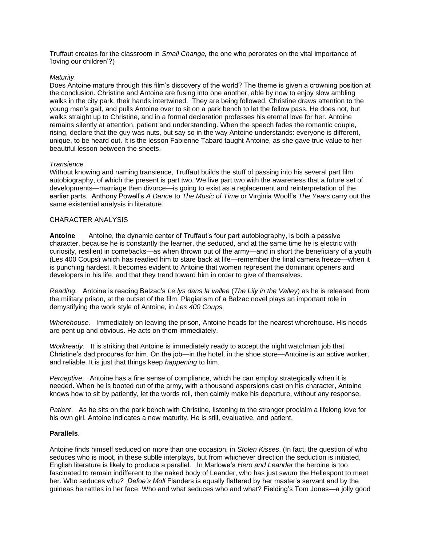Truffaut creates for the classroom in *Small Change,* the one who perorates on the vital importance of 'loving our children'?)

## *Maturity*.

Does Antoine mature through this film's discovery of the world? The theme is given a crowning position at the conclusion. Christine and Antoine are fusing into one another, able by now to enjoy slow ambling walks in the city park, their hands intertwined. They are being followed. Christine draws attention to the young man's gait, and pulls Antoine over to sit on a park bench to let the fellow pass. He does not, but walks straight up to Christine, and in a formal declaration professes his eternal love for her. Antoine remains silently at attention, patient and understanding. When the speech fades the romantic couple, rising, declare that the guy was nuts, but say so in the way Antoine understands: everyone is different, unique, to be heard out. It is the lesson Fabienne Tabard taught Antoine, as she gave true value to her beautiful lesson between the sheets.

## *Transience.*

Without knowing and naming transience, Truffaut builds the stuff of passing into his several part film autobiography, of which the present is part two. We live part two with the awareness that a future set of developments—marriage then divorce—is going to exist as a replacement and reinterpretation of the earlier parts. Anthony Powell's *A Dance* to *The Music of Time* or Virginia Woolf's *The Years* carry out the same existential analysis in literature.

## CHARACTER ANALYSIS

**Antoine** Antoine, the dynamic center of Truffaut's four part autobiography, is both a passive character, because he is constantly the learner, the seduced, and at the same time he is electric with curiosity, resilient in comebacks—as when thrown out of the army—and in short the beneficiary of a youth (Les 400 Coups) which has readied him to stare back at life—remember the final camera freeze—when it is punching hardest. It becomes evident to Antoine that women represent the dominant openers and developers in his life, and that they trend toward him in order to give of themselves.

*Reading.* Antoine is reading Balzac's *Le lys dans la vallee* (*The Lily in the Valley*) as he is released from the military prison, at the outset of the film. Plagiarism of a Balzac novel plays an important role in demystifying the work style of Antoine, in *Les 400 Coups.*

*Whorehouse.* Immediately on leaving the prison, Antoine heads for the nearest whorehouse. His needs are pent up and obvious. He acts on them immediately.

*Workready.* It is striking that Antoine is immediately ready to accept the night watchman job that Christine's dad procures for him. On the job—in the hotel, in the shoe store—Antoine is an active worker, and reliable. It is just that things keep *happening* to him.

*Perceptive.* Antoine has a fine sense of compliance, which he can employ strategically when it is needed. When he is booted out of the army, with a thousand aspersions cast on his character, Antoine knows how to sit by patiently, let the words roll, then calmly make his departure, without any response.

*Patient*. As he sits on the park bench with Christine, listening to the stranger proclaim a lifelong love for his own girl, Antoine indicates a new maturity. He is still, evaluative, and patient.

#### **Parallels**.

Antoine finds himself seduced on more than one occasion, in *Stolen Kisses*. (In fact, the question of who seduces who is moot, in these subtle interplays, but from whichever direction the seduction is initiated, English literature is likely to produce a parallel. In Marlowe's *Hero and Leander* the heroine is too fascinated to remain indifferent to the naked body of Leander, who has just swum the Hellespont to meet her. Who seduces wh*o? Defoe's Moll* Flanders is equally flattered by her master's servant and by the guineas he rattles in her face. Who and what seduces who and what? Fielding's Tom Jones—a jolly good